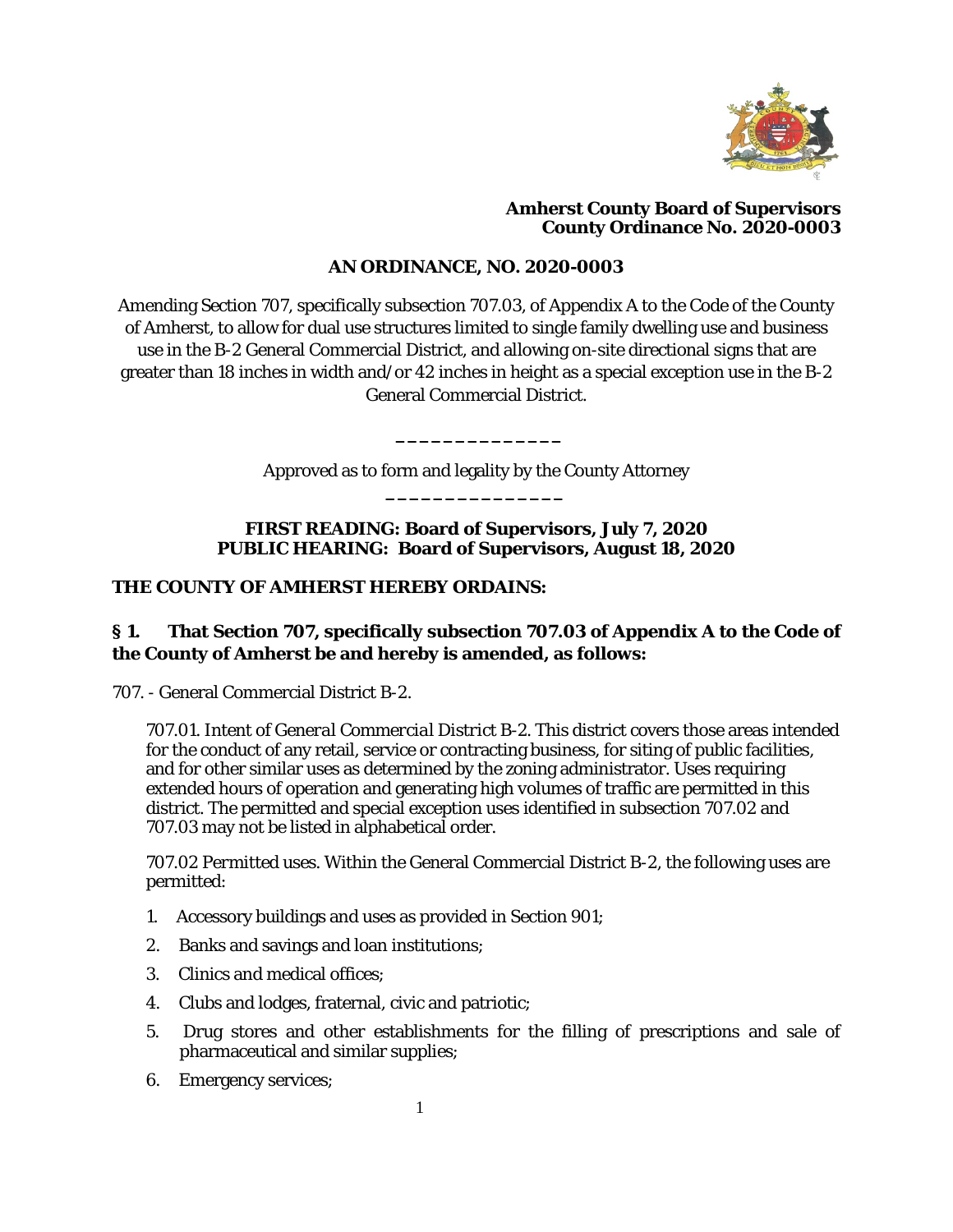

#### **Amherst County Board of Supervisors County Ordinance No. 2020-0003**

# **AN ORDINANCE, NO. 2020-0003**

Amending Section 707, specifically subsection 707.03, of Appendix A to the Code of the County of Amherst, to allow for dual use structures limited to single family dwelling use and business use in the B-2 General Commercial District, and allowing on-site directional signs that are greater than 18 inches in width and/or 42 inches in height as a special exception use in the B-2 General Commercial District.

> Approved as to form and legality by the County Attorney **\_\_\_\_\_\_\_\_\_\_\_\_\_\_\_**

**\_\_\_\_\_\_\_\_\_\_\_\_\_\_**

# **FIRST READING: Board of Supervisors, July 7, 2020 PUBLIC HEARING: Board of Supervisors, August 18, 2020**

#### **THE COUNTY OF AMHERST HEREBY ORDAINS:**

# **§ 1. That Section 707, specifically subsection 707.03 of Appendix A to the Code of the County of Amherst be and hereby is amended, as follows:**

707. - General Commercial District B-2.

*707.01. Intent of General Commercial District B-2*. This district covers those areas intended for the conduct of any retail, service or contracting business, for siting of public facilities, and for other similar uses as determined by the zoning administrator. Uses requiring extended hours of operation and generating high volumes of traffic are permitted in this district. The permitted and special exception uses identified in subsection 707.02 and 707.03 may not be listed in alphabetical order.

*707.02 Permitted uses*. Within the General Commercial District B-2, the following uses are permitted:

- 1. Accessory buildings and uses as provided in Section 901;
- 2. Banks and savings and loan institutions;
- 3. Clinics and medical offices;
- 4. Clubs and lodges, fraternal, civic and patriotic;
- 5. Drug stores and other establishments for the filling of prescriptions and sale of pharmaceutical and similar supplies;
- 6. Emergency services;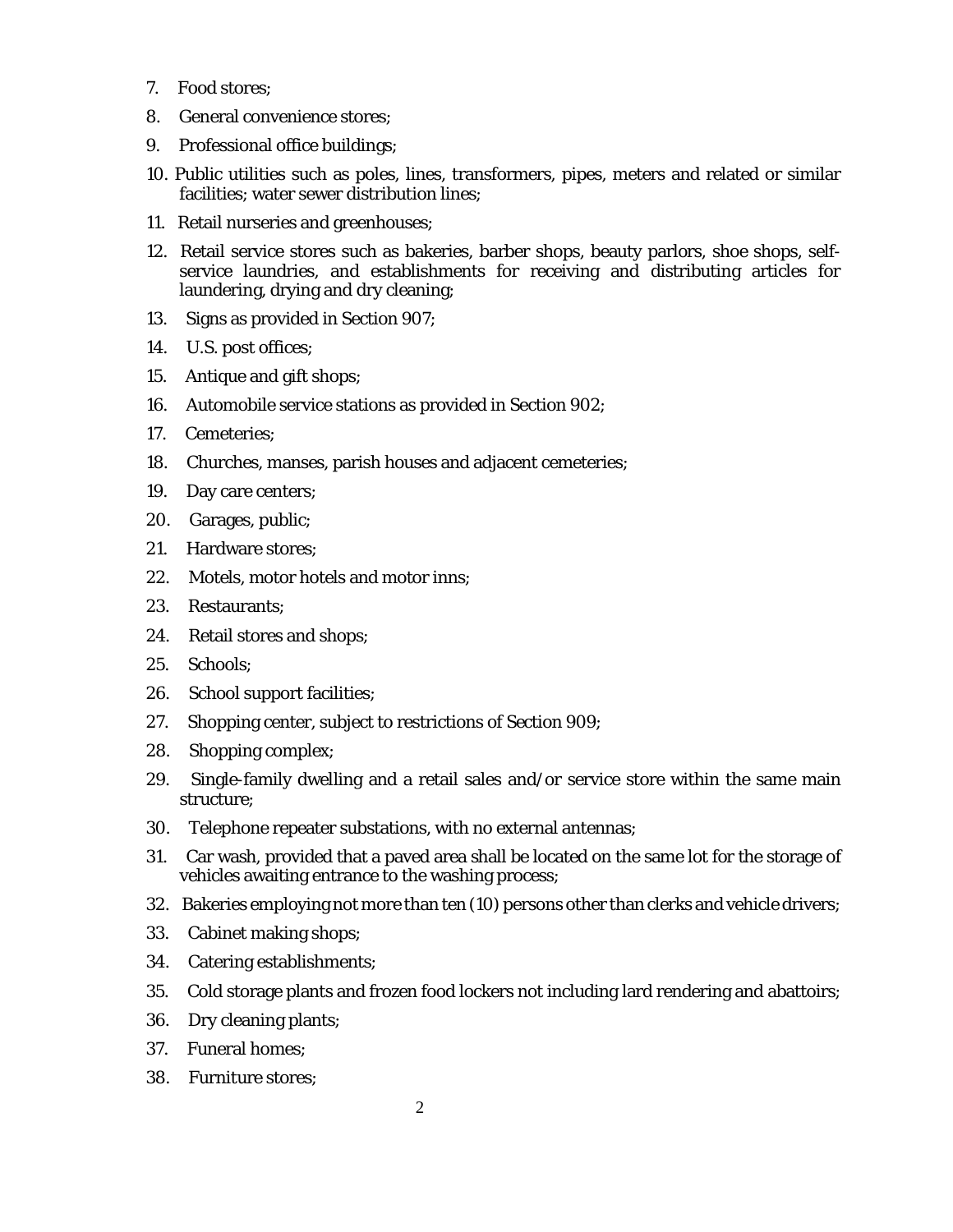- 7. Food stores;
- 8. General convenience stores;
- 9. Professional office buildings;
- 10. Public utilities such as poles, lines, transformers, pipes, meters and related or similar facilities; water sewer distribution lines;
- 11. Retail nurseries and greenhouses;
- 12. Retail service stores such as bakeries, barber shops, beauty parlors, shoe shops, selfservice laundries, and establishments for receiving and distributing articles for laundering, drying and dry cleaning;
- 13. Signs as provided in Section 907;
- 14. U.S. post offices;
- 15. Antique and gift shops;
- 16. Automobile service stations as provided in Section 902;
- 17. Cemeteries;
- 18. Churches, manses, parish houses and adjacent cemeteries;
- 19. Day care centers;
- 20. Garages, public;
- 21. Hardware stores;
- 22. Motels, motor hotels and motor inns;
- 23. Restaurants;
- 24. Retail stores and shops;
- 25. Schools;
- 26. School support facilities;
- 27. Shopping center, subject to restrictions of Section 909;
- 28. Shopping complex;
- 29. Single-family dwelling and a retail sales and/or service store within the same main structure;
- 30. Telephone repeater substations, with no external antennas;
- 31. Car wash, provided that a paved area shall be located on the same lot for the storage of vehicles awaiting entrance to the washing process;
- 32. Bakeries employing not more than ten (10) persons other than clerks and vehicle drivers;
- 33. Cabinet making shops;
- 34. Catering establishments;
- 35. Cold storage plants and frozen food lockers not including lard rendering and abattoirs;
- 36. Dry cleaning plants;
- 37. Funeral homes;
- 38. Furniture stores;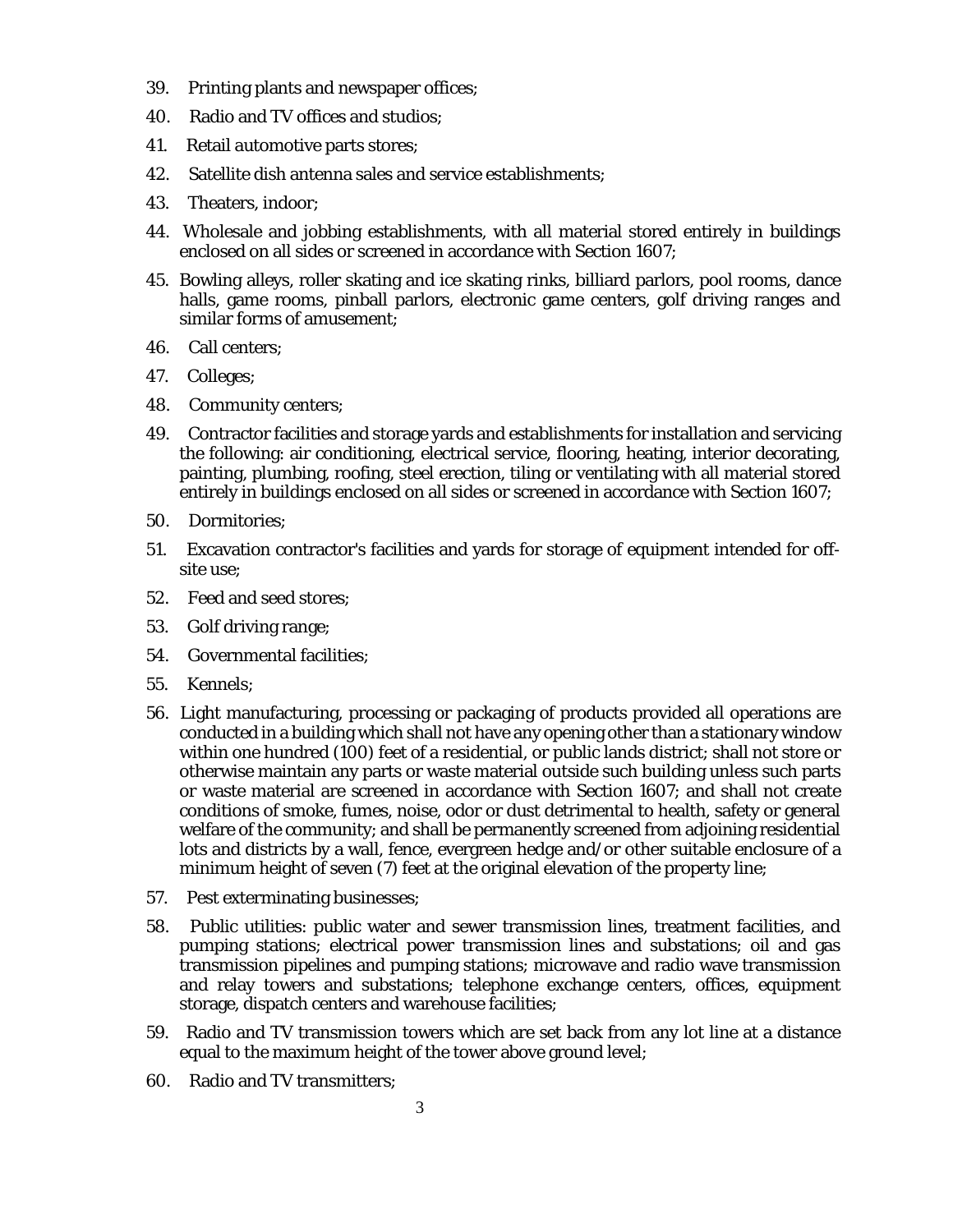- 39. Printing plants and newspaper offices;
- 40. Radio and TV offices and studios;
- 41. Retail automotive parts stores;
- 42. Satellite dish antenna sales and service establishments;
- 43. Theaters, indoor;
- 44. Wholesale and jobbing establishments, with all material stored entirely in buildings enclosed on all sides or screened in accordance with Section 1607;
- 45. Bowling alleys, roller skating and ice skating rinks, billiard parlors, pool rooms, dance halls, game rooms, pinball parlors, electronic game centers, golf driving ranges and similar forms of amusement;
- 46. Call centers;
- 47. Colleges;
- 48. Community centers;
- 49. Contractor facilities and storage yards and establishments for installation and servicing the following: air conditioning, electrical service, flooring, heating, interior decorating, painting, plumbing, roofing, steel erection, tiling or ventilating with all material stored entirely in buildings enclosed on all sides or screened in accordance with Section 1607;
- 50. Dormitories;
- 51. Excavation contractor's facilities and yards for storage of equipment intended for offsite use;
- 52. Feed and seed stores;
- 53. Golf driving range;
- 54. Governmental facilities;
- 55. Kennels;
- 56. Light manufacturing, processing or packaging of products provided all operations are conducted in a building which shall not have any opening other than a stationary window within one hundred (100) feet of a residential, or public lands district; shall not store or otherwise maintain any parts or waste material outside such building unless such parts or waste material are screened in accordance with Section 1607; and shall not create conditions of smoke, fumes, noise, odor or dust detrimental to health, safety or general welfare of the community; and shall be permanently screened from adjoining residential lots and districts by a wall, fence, evergreen hedge and/or other suitable enclosure of a minimum height of seven (7) feet at the original elevation of the property line;
- 57. Pest exterminating businesses;
- 58. Public utilities: public water and sewer transmission lines, treatment facilities, and pumping stations; electrical power transmission lines and substations; oil and gas transmission pipelines and pumping stations; microwave and radio wave transmission and relay towers and substations; telephone exchange centers, offices, equipment storage, dispatch centers and warehouse facilities;
- 59. Radio and TV transmission towers which are set back from any lot line at a distance equal to the maximum height of the tower above ground level;
- 60. Radio and TV transmitters;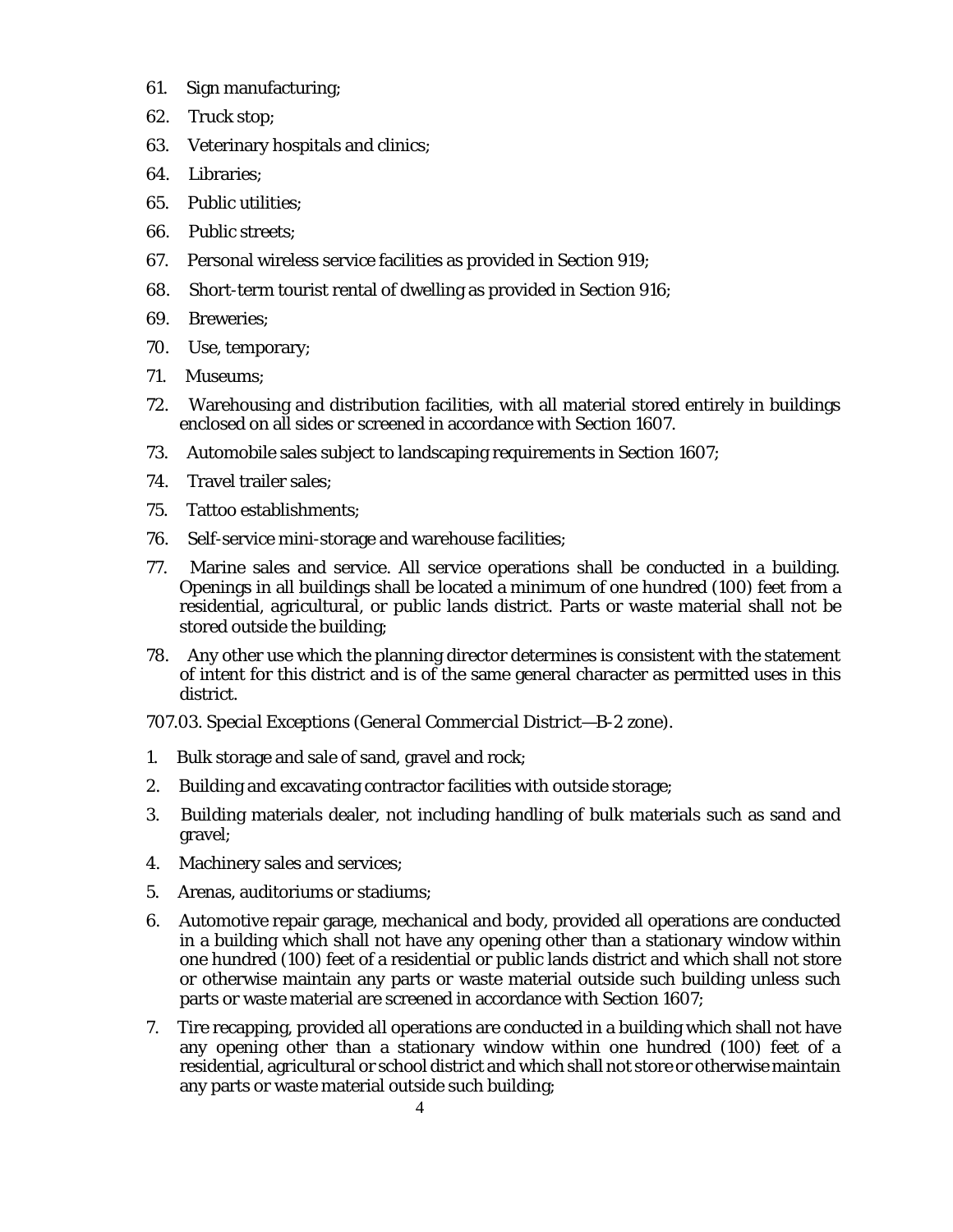- 61. Sign manufacturing;
- 62. Truck stop;
- 63. Veterinary hospitals and clinics;
- 64. Libraries;
- 65. Public utilities;
- 66. Public streets;
- 67. Personal wireless service facilities as provided in Section 919;
- 68. Short-term tourist rental of dwelling as provided in Section 916;
- 69. Breweries;
- 70. Use, temporary;
- 71. Museums;
- 72. Warehousing and distribution facilities, with all material stored entirely in buildings enclosed on all sides or screened in accordance with Section 1607.
- 73. Automobile sales subject to landscaping requirements in Section 1607;
- 74. Travel trailer sales;
- 75. Tattoo establishments;
- 76. Self-service mini-storage and warehouse facilities;
- 77. Marine sales and service. All service operations shall be conducted in a building. Openings in all buildings shall be located a minimum of one hundred (100) feet from a residential, agricultural, or public lands district. Parts or waste material shall not be stored outside the building;
- 78. Any other use which the planning director determines is consistent with the statement of intent for this district and is of the same general character as permitted uses in this district.

*707.03. Special Exceptions (General Commercial District—B-2 zone).*

- 1. Bulk storage and sale of sand, gravel and rock;
- 2. Building and excavating contractor facilities with outside storage;
- 3. Building materials dealer, not including handling of bulk materials such as sand and gravel;
- 4. Machinery sales and services;
- 5. Arenas, auditoriums or stadiums;
- 6. Automotive repair garage, mechanical and body, provided all operations are conducted in a building which shall not have any opening other than a stationary window within one hundred (100) feet of a residential or public lands district and which shall not store or otherwise maintain any parts or waste material outside such building unless such parts or waste material are screened in accordance with Section 1607;
- 7. Tire recapping, provided all operations are conducted in a building which shall not have any opening other than a stationary window within one hundred (100) feet of a residential, agricultural or school district and which shall not store or otherwise maintain any parts or waste material outside such building;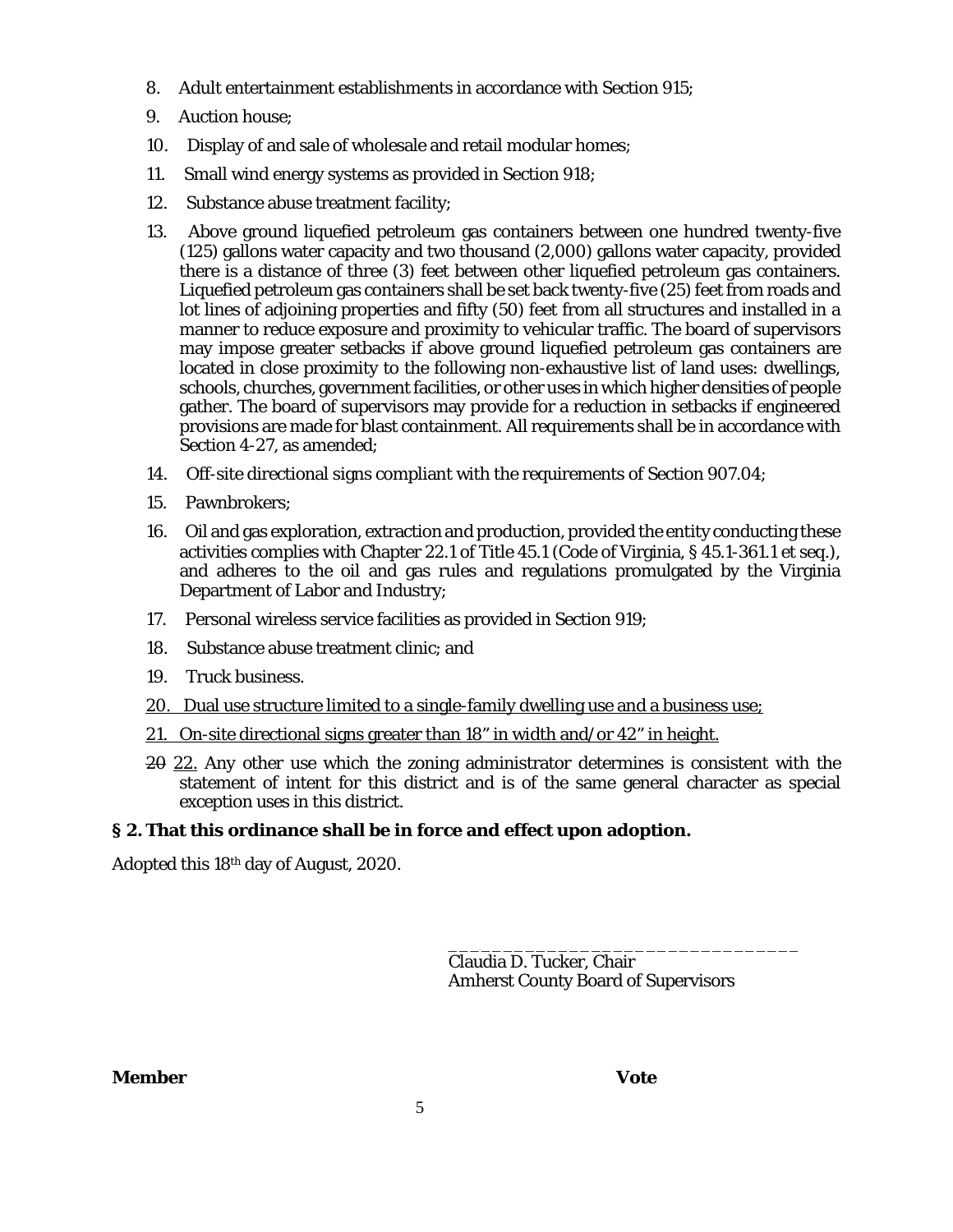- 8. Adult entertainment establishments in accordance with Section 915;
- 9. Auction house;
- 10. Display of and sale of wholesale and retail modular homes;
- 11. Small wind energy systems as provided in Section 918;
- 12. Substance abuse treatment facility;
- 13. Above ground liquefied petroleum gas containers between one hundred twenty-five (125) gallons water capacity and two thousand (2,000) gallons water capacity, provided there is a distance of three (3) feet between other liquefied petroleum gas containers. Liquefied petroleum gas containers shall be set back twenty-five (25) feet from roads and lot lines of adjoining properties and fifty (50) feet from all structures and installed in a manner to reduce exposure and proximity to vehicular traffic. The board of supervisors may impose greater setbacks if above ground liquefied petroleum gas containers are located in close proximity to the following non-exhaustive list of land uses: dwellings, schools, churches, government facilities, or other uses in which higher densities of people gather. The board of supervisors may provide for a reduction in setbacks if engineered provisions are made for blast containment. All requirements shall be in accordance with Section 4-27, as amended;
- 14. Off-site directional signs compliant with the requirements of Section 907.04;
- 15. Pawnbrokers;
- 16. Oil and gas exploration, extraction and production, provided the entity conducting these activities complies with Chapter 22.1 of Title 45.1 (Code of Virginia, § 45.1-361.1 et seq.), and adheres to the oil and gas rules and regulations promulgated by the Virginia Department of Labor and Industry;
- 17. Personal wireless service facilities as provided in Section 919;
- 18. Substance abuse treatment clinic; and
- 19. Truck business.
- 20. Dual use structure limited to a single-family dwelling use and a business use;
- 21. On-site directional signs greater than 18" in width and/or 42" in height.
- 20 22. Any other use which the zoning administrator determines is consistent with the statement of intent for this district and is of the same general character as special exception uses in this district.

# **§ 2. That this ordinance shall be in force and effect upon adoption.**

Adopted this 18th day of August, 2020.

\_\_\_\_\_\_\_\_\_\_\_\_\_\_\_\_\_\_\_\_\_\_\_\_\_\_\_\_\_\_\_\_ Claudia D. Tucker, Chair Amherst County Board of Supervisors